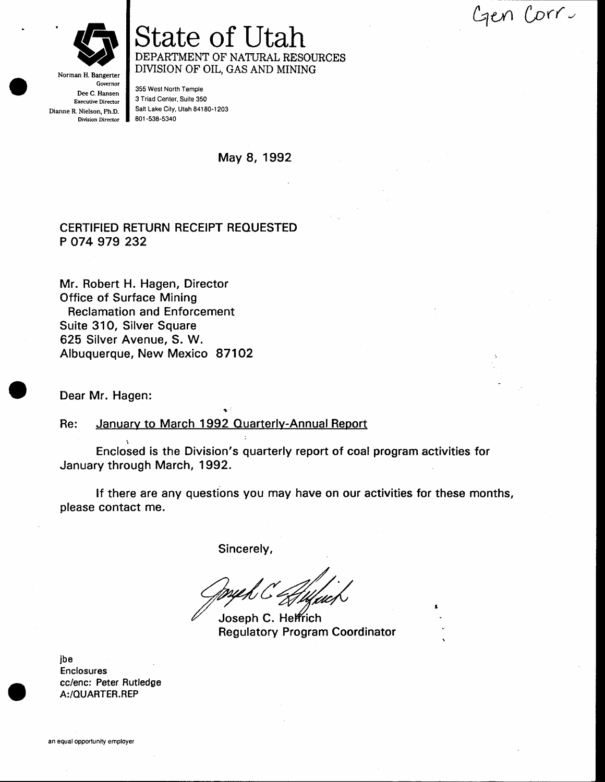gen Corru



State of Utah DEPARTMENT OF NATURAL RESOURCES DIVISION OF OIL, GAS AND MINING

Norman H. Bangerter **Governor** Dee C. Hansen Executive Director Dianne R. Nielson, Ph.D. Division Director

355 West North Temple 3 Triad Center, Suite 350 Salt Lake City, Utah 84180-1203 801 -538-5340

May 8, 1992

#### CERTIFIED RETURN RECEIPT REOUESTED P O74 979 232

Mr. Robert H. Hagen, Director Office of Surface Mining Reclamation and Enforcement Suite 31O, Silver Square 625 Silver Avenue, S. W. Albuquerque, New Mexico 871O2

Dear Mr. Hagen:

Re: January to March 1992 Quarterly-Annual Report

+

l Enclosed is the Division's quarterly report of coal program activities for January through March, 1992.

lf there are any questions you may have on our activities for these months, please contact me.

Sincerely,

:

Joseph C. Helfrich Regulatory Program Coordinator

ibe Enclosures cc/enc: Peter Rutledge A:/QUARTER.REP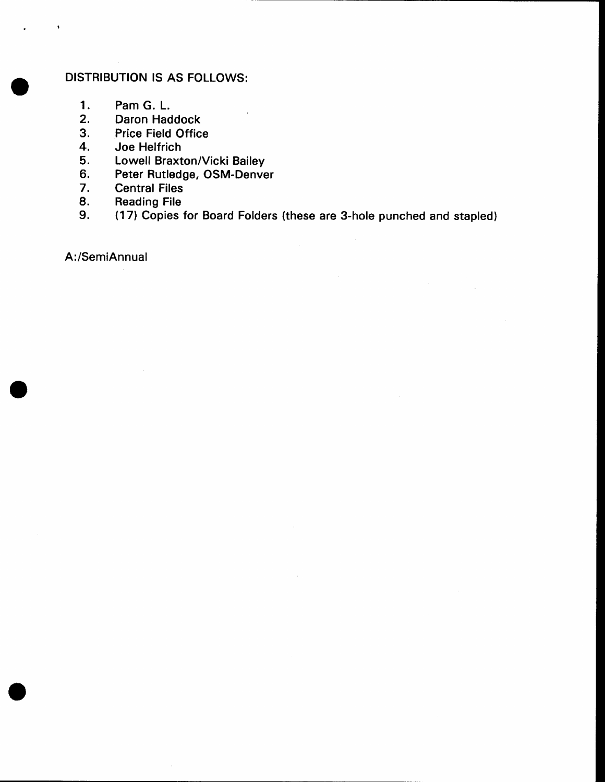#### DISTRIBUTION 15 AS FOLLOWS:

- $1.$ Pam G. L.
- $2.$ Daron Haddock
- Price Field Office  $3.$
- 4. Joe Helfrich
- Lowell Braxton/Vicki Bailey 5.
- Peter Rutledge, OSM-Denver 6.
- $7.$ Central Files
- Reading File 8.
- (171 Copies for Board Folders (these are S-hole punched and stapled) 9.

A:/SemiAnnual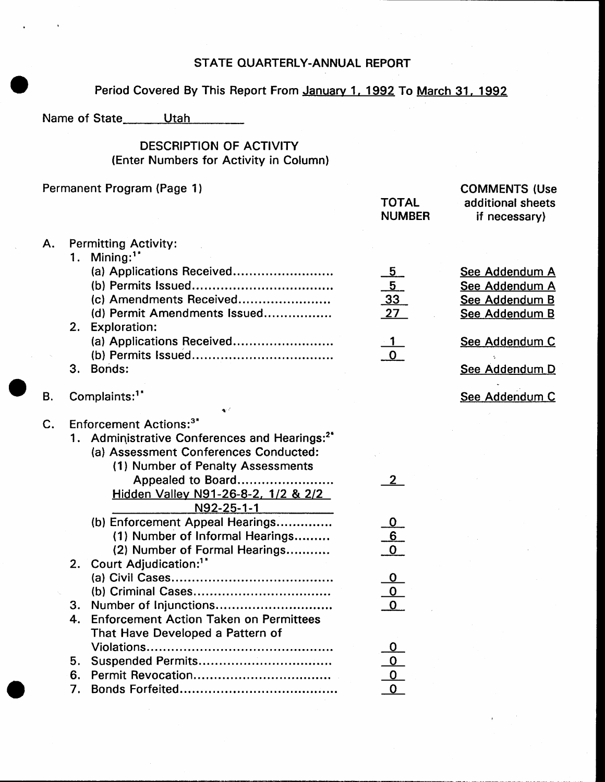# STATE QUARTERLY-ANNUAL REPORT

# Period Covered By This Report From January 1, 1992 To March 31, 1992

### DESCRIPTION OF ACTIVITY (Enter Numbers for Activity in Column)

|             |          | Permanent Program (Page 1)                                                                                                                                                                                | <b>TOTAL</b><br><b>NUMBER</b>                        | <b>COMMENTS (Use</b><br>additional sheets<br>if necessary)           |
|-------------|----------|-----------------------------------------------------------------------------------------------------------------------------------------------------------------------------------------------------------|------------------------------------------------------|----------------------------------------------------------------------|
| Α.          | 1.       | <b>Permitting Activity:</b><br>Mining: <sup>1*</sup>                                                                                                                                                      |                                                      |                                                                      |
|             |          | (a) Applications Received<br>(c) Amendments Received<br>(d) Permit Amendments Issued                                                                                                                      | <u>5</u><br>$\frac{\frac{1}{5}}{33}$ $\frac{27}{27}$ | See Addendum A<br>See Addendum A<br>See Addendum B<br>See Addendum B |
|             | 2.       | <b>Exploration:</b><br>(a) Applications Received                                                                                                                                                          |                                                      | See Addendum C                                                       |
|             | З.       | Bonds:                                                                                                                                                                                                    |                                                      | See Addendum D                                                       |
| В.          |          | Complaints: <sup>1*</sup>                                                                                                                                                                                 |                                                      | See Addendum C                                                       |
| $C_{\cdot}$ |          | <b>Enforcement Actions:</b> <sup>3*</sup><br>1. Administrative Conferences and Hearings: <sup>2*</sup><br>(a) Assessment Conferences Conducted:<br>(1) Number of Penalty Assessments<br>Appealed to Board |                                                      |                                                                      |
|             |          | Hidden Valley N91-26-8-2, 1/2 & 2/2<br>N92-25-1-1                                                                                                                                                         |                                                      |                                                                      |
|             |          | (b) Enforcement Appeal Hearings<br>(1) Number of Informal Hearings<br>(2) Number of Formal Hearings                                                                                                       | $\frac{\frac{0}{6}}{0}$                              |                                                                      |
|             |          | 2. Court Adjudication: <sup>1*</sup>                                                                                                                                                                      | $\begin{array}{c}\n0 \\ 0 \\ 0\n\end{array}$         |                                                                      |
|             | 3.<br>4  | Enforcement Action Taken on Permittees<br>That Have Developed a Pattern of                                                                                                                                |                                                      |                                                                      |
|             | 5.       | Suspended Permits                                                                                                                                                                                         |                                                      |                                                                      |
|             | 6.<br>7. |                                                                                                                                                                                                           |                                                      |                                                                      |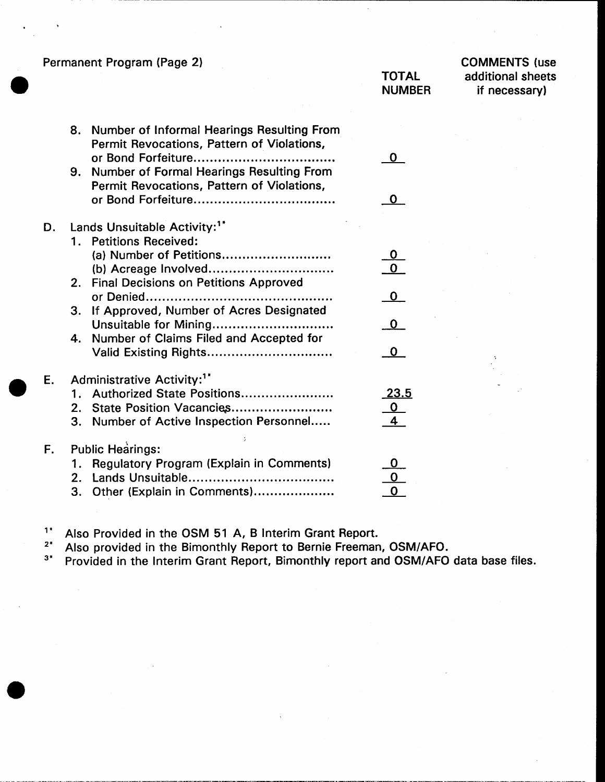Permanent Program (Page 2)

#### **TOTAL NUMBER**

**COMMENTS** (use additional sheets if necessary)

|    | 8.      | Number of Informal Hearings Resulting From<br>Permit Revocations, Pattern of Violations, | O            |
|----|---------|------------------------------------------------------------------------------------------|--------------|
|    | 9.      | Number of Formal Hearings Resulting From<br>Permit Revocations, Pattern of Violations,   | O            |
| D. |         | Lands Unsuitable Activity: <sup>1*</sup>                                                 |              |
|    | $1_{-}$ | <b>Petitions Received:</b>                                                               |              |
|    |         | (a) Number of Petitions                                                                  | $\mathbf 0$  |
|    |         |                                                                                          | $\mathbf 0$  |
|    |         | 2. Final Decisions on Petitions Approved                                                 |              |
|    |         | or Denied                                                                                | $\mathbf{O}$ |
|    | 3.      | If Approved, Number of Acres Designated                                                  |              |
|    |         | Unsuitable for Mining                                                                    | $\mathbf 0$  |
|    | 4.      | Number of Claims Filed and Accepted for                                                  |              |
|    |         | Valid Existing Rights                                                                    | o            |
| E. |         | Administrative Activity: <sup>1*</sup>                                                   |              |
|    |         | 1. Authorized State Positions                                                            | 23.5         |
|    |         | 2. State Position Vacancies                                                              | <u>o</u>     |
|    |         | 3. Number of Active Inspection Personnel                                                 |              |
| F. |         | <b>Public Hearings:</b>                                                                  |              |
|    |         | Regulatory Program (Explain in Comments)                                                 |              |
|    |         |                                                                                          |              |
|    |         | 3. Other (Explain in Comments)                                                           |              |
|    |         |                                                                                          |              |

 $1<sup>†</sup>$ Also Provided in the OSM 51 A, B Interim Grant Report.

 $2*$ Also provided in the Bimonthly Report to Bernie Freeman, OSM/AFO.

 $3*$ Provided in the Interim Grant Report, Bimonthly report and OSM/AFO data base files.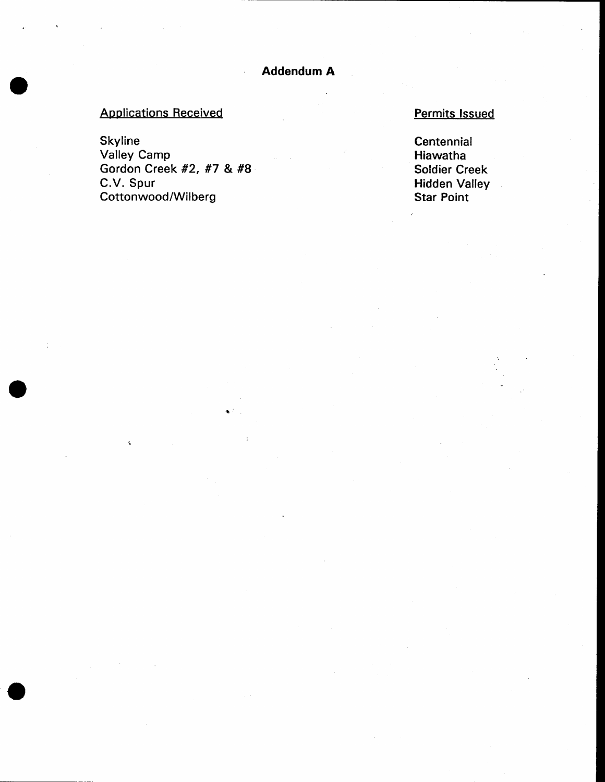# **Applications Received**

Skyline Valley Camp Gordon Creek #2, #7 & #8 C.V. Spur Cottonwood/Wilberg

# Permits Issued

**Centennial** Hiawatha Soldier Creek Hidden Valley Star Point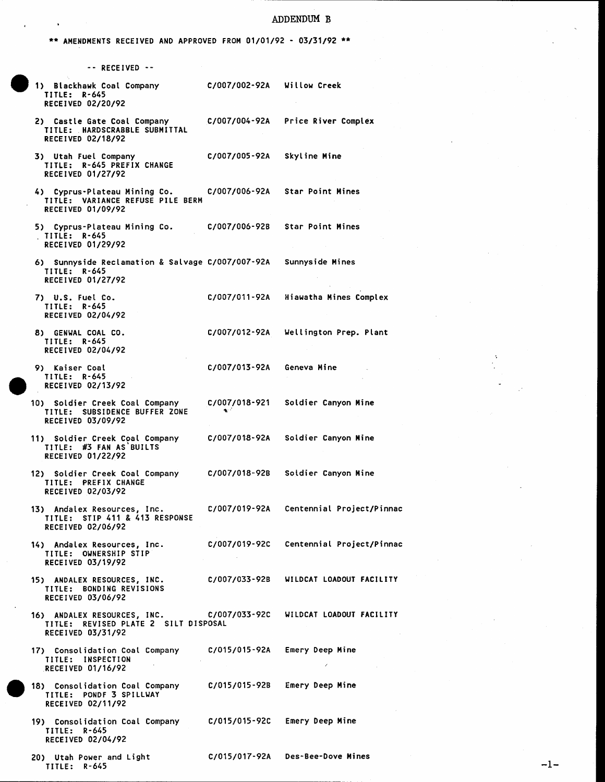#### ADDENDUM B

\*\* AMENDMENTS RECEIVED AND APPROVED FROM 01/01/92 - 03/31/92 \*\*

 $\bullet$ 

| -- RECEIVED --                                                                                         |                      |                                         |
|--------------------------------------------------------------------------------------------------------|----------------------|-----------------------------------------|
| 1) Blackhawk Coal Company<br>TITLE: R-645<br><b>RECEIVED 02/20/92</b>                                  | C/007/002-92A        | Willow Creek                            |
| 2) Castle Gate Coal Company<br>TITLE: HARDSCRABBLE SUBMITTAL<br><b>RECEIVED 02/18/92</b>               | C/007/004-92A        | Price River Complex                     |
| 3) Utah Fuel Company<br>TITLE: R-645 PREFIX CHANGE<br><b>RECEIVED 01/27/92</b>                         | C/007/005-92A        | Skyline Mine                            |
| 4) Cyprus-Plateau Mining Co.<br>TITLE: VARIANCE REFUSE PILE BERM<br><b>RECEIVED 01/09/92</b>           | C/007/006-92A        | <b>Star Point Mines</b>                 |
| 5) Cyprus-Plateau Mining Co.<br>TITLE: R-645<br>RECEIVED 01/29/92                                      | C/007/006-92B        | <b>Star Point Mines</b>                 |
| 6) Sunnyside Reclamation & Salvage C/007/007-92A<br>TITLE: R-645<br>RECEIVED 01/27/92                  |                      | Sunnyside Mines                         |
| 7) U.S. Fuel Co.<br>TITLE: R-645<br>RECEIVED 02/04/92                                                  | C/007/011-92A        | Hiawatha Mines Complex                  |
| 8) GENWAL COAL CO.<br><b>TITLE: R-645</b><br>RECEIVED 02/04/92                                         | C/007/012-92A        | Wellington Prep. Plant                  |
| 9) Kaiser Coal<br><b>TITLE: R-645</b><br>RECEIVED 02/13/92                                             | C/007/013-92A        | Geneva Mine                             |
| 10) Soldier Creek Coal Company<br>TITLE: SUBSIDENCE BUFFER ZONE<br>RECEIVED 03/09/92                   | C/007/018-921<br>e f | Soldier Canyon Mine                     |
| 11) Soldier Creek Coal Company<br>TITLE: #3 FAN AS BUILTS<br>RECEIVED 01/22/92                         | C/007/018-92A        | Soldier Canyon Mine                     |
| 12) Soldier Creek Coal Company<br>TITLE: PREFIX CHANGE<br><b>RECEIVED 02/03/92</b>                     | C/007/018-92B        | Soldier Canyon Mine                     |
| 13) Andalex Resources, Inc.<br>TITLE: STIP 411 & 413 RESPONSE<br>RECEIVED 02/06/92                     |                      | C/007/019-92A Centennial Project/Pinnac |
| 14) Andalex Resources, Inc.<br>TITLE: OWNERSHIP STIP<br><b>RECEIVED 03/19/92</b>                       |                      | C/007/019-92C Centennial Project/Pinnac |
| 15) ANDALEX RESOURCES, INC.<br>TITLE: BONDING REVISIONS<br>RECEIVED 03/06/92                           | C/007/033-92B        | WILDCAT LOADOUT FACILITY                |
| 16) ANDALEX RESOURCES, INC. C/007/033-92C<br>TITLE: REVISED PLATE 2 SILT DISPOSAL<br>RECEIVED 03/31/92 |                      | WILDCAT LOADOUT FACILITY                |
| 17) Consolidation Coal Company<br>TITLE: INSPECTION<br>RECEIVED 01/16/92                               | C/015/015-92A        | Emery Deep Mine                         |
| 18) Consolidation Coal Company<br>TITLE: PONDF 3 SPILLWAY<br>RECEIVED 02/11/92                         | C/015/015-92B        | Emery Deep Mine                         |
| 19) Consolidation Coal Company<br>TITLE: R-645<br>RECEIVED 02/04/92                                    | C/015/015-92C        | Emery Deep Mine                         |
| 20) Utah Power and Light<br>TITLE: R-645                                                               |                      | C/015/017-92A Des-Bee-Dove Mines        |

 $-1-$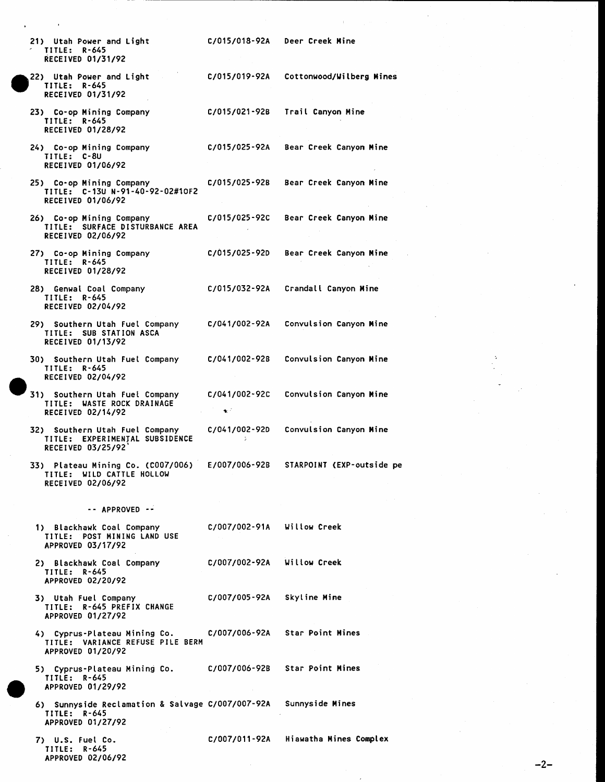| 21) Utah Power and Light<br>TITLE: R-645<br>RECEIVED 01/31/92                         | C/015/018-92A                | Deer Creek Mine                |
|---------------------------------------------------------------------------------------|------------------------------|--------------------------------|
| 22) Utah Power and Light<br>TITLE: R-645<br>RECEIVED 01/31/92                         | C/015/019-92A                | Cottonwood/Wilberg Mines       |
| 23) Co-op Mining Company<br>$TITLE: R-645$<br><b>RECEIVED 01/28/92</b>                | C/015/021-92B                | Trail Canyon Mine              |
| 24) Co-op Mining Company<br>TITLE: C-8U<br><b>RECEIVED 01/06/92</b>                   | C/015/025-92A                | Bear Creek Canyon Mine         |
| 25) Co-op Mining Company<br>TITLE: C-13U N-91-40-92-02#10F2<br>RECEIVED 01/06/92      | C/015/025-92B                | Bear Creek Canyon Mine         |
| 26) Co-op Mining Company<br>TITLE: SURFACE DISTURBANCE AREA<br>RECEIVED 02/06/92      | C/015/025-92C                | Bear Creek Canyon Mine         |
| 27) Co-op Mining Company<br>TITLE: R-645<br>RECEIVED 01/28/92                         | C/015/025-92D                | Bear Creek Canyon Mine         |
| 28) Genwal Coal Company<br>TITLE: R-645<br><b>RECEIVED 02/04/92</b>                   | C/015/032-92A                | Crandall Canyon Mine           |
| 29) Southern Utah Fuel Company<br>TITLE: SUB STATION ASCA<br>RECEIVED 01/13/92        | C/041/002-92A                | Convulsion Canyon Mine         |
| 30) Southern Utah Fuel Company<br>TITLE: R-645<br>RECEIVED 02/04/92                   | C/041/002-92B                | Convulsion Canyon Mine         |
| 31) Southern Utah Fuel Company<br>TITLE: WASTE ROCK DRAINAGE<br>RECEIVED 02/14/92     | C/041/002-92C<br>$\bullet$ : | Convulsion Canyon Mine         |
| 32) Southern Utah Fuel Company<br>TITLE: EXPERIMENTAL SUBSIDENCE<br>RECEIVED 03/25/92 | C/041/002-92D<br>÷.          | Convulsion Canyon Mine         |
| 33) Plateau Mining Co. (C007/006)<br>TITLE: WILD CATTLE HOLLOW<br>RECEIVED 02/06/92   | E/007/006-92B                | STARPOINT (EXP-outside pe      |
| -- APPROVED --                                                                        |                              |                                |
| 1) Blackhawk Coal Company<br>TITLE: POST MINING LAND USE<br>APPROVED 03/17/92         | C/007/002-91A Willow Creek   |                                |
| 2) Blackhawk Coal Company<br>TITLE: R-645<br>APPROVED 02/20/92                        | C/007/002-92A Willow Creek   |                                |
| 3) Utah Fuel Company<br>TITLE: R-645 PREFIX CHANGE<br>APPROVED 01/27/92               | C/007/005-92A                | Skyline Mine                   |
| 4) Cyprus-Plateau Mining Co.<br>TITLE: VARIANCE REFUSE PILE BERM<br>APPROVED 01/20/92 |                              | C/007/006-92A Star Point Mines |
| 5) Cyprus-Plateau Mining Co.<br>TITLE: R-645<br>APPROVED 01/29/92                     |                              | C/007/006-92B Star Point Mines |
| 6) Sunnyside Reclamation & Salvage C/007/007-92A<br>TITLE: R-645<br>APPROVED 01/27/92 |                              | Sunnyside Mines                |
| 7) U.S. Fuel Co.<br>TITLE: R-645<br>APPROVED 02/06/92                                 | C/007/011-92A                | Hiawatha Mines Complex         |

 $-2-$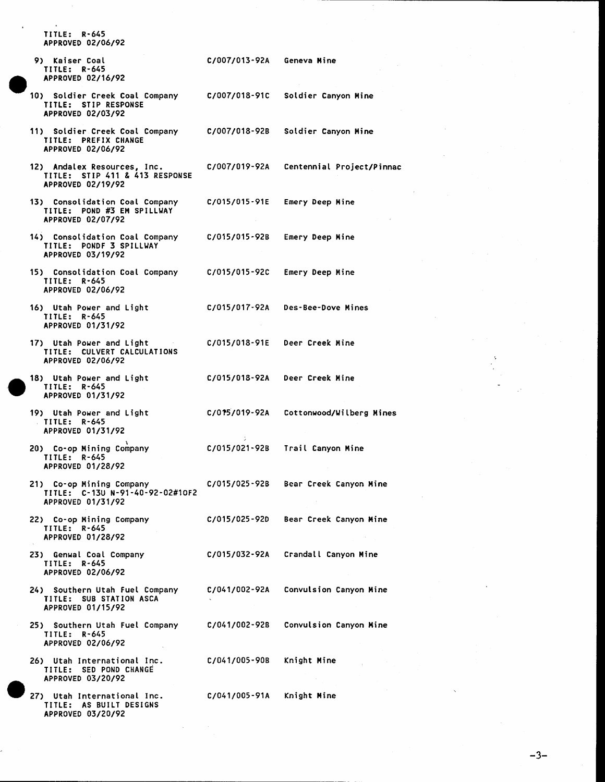TITLE: R-645 APPROVED 02/06/92

- 9) Kaiser Coal TITLE: R-645 APPROVED 02/16/92
- 10) Soldier Creek Coal Company TITLE: STIP RESPONSE APPROVED 02/03/92
- 11) Soldier Creek Coal Company TITLE: PREFIX CHANGE APPROVED 02/06/92
- 12) Andalex Resources, Inc. TITLE: STIP 411 & 413 RESPONSE APPROVED 02/19/92
- 13) Consolidation Coal Company TITLE: POND #3 EM SPILLWAY APPROVED 02/07/92
- 14) Consolidation Coal Company TITLE: PONDF 3 SPILLWAY APPROVED 03/19/92
- 15) Consolidation Coal Company TITLE: R-645 APPROVED 02/06/92
- 16) Utah Power and Light TITLE: R-645 APPROVED 01/31/92
- 17) Utah Power and Light TITLE: CULVERT CALCULATIONS APPROVED 02/06/92
- 18) Utah Power and Light TITLE: R-645 APPROVED 01/31/92
- 19) Utah Power and Light TITLE: R-645 APPROVED 01/31/92
- 20) Co-op Mining Company **TITLE: R-645** APPROVED 01/28/92
- 21) Co-op Mining Company TITLE: C-13U N-91-40-92-02#10F2 APPROVED 01/31/92
- 22) Co-op Mining Company TITLE: R-645 APPROVED 01/28/92
- 23) Genwal Coal Company TITLE: R-645 APPROVED 02/06/92
- 24) Southern Utah Fuel Company TITLE: SUB STATION ASCA APPROVED 01/15/92
- 25) Southern Utah Fuel Company TITLE: R-645 APPROVED 02/06/92
- 26) Utah International Inc. TITLE: SED POND CHANGE APPROVED 03/20/92
- 27) Utah International Inc. TITLE: AS BUILT DESIGNS APPROVED 03/20/92

C/007/018-92B Soldier Canyon Mine C/007/019-92A Centennial Project/Pinnac C/015/015-91E Emery Deep Mine C/015/015-92B Emery Deep Mine

Emery Deep Mine

Geneva Mine

Soldier Canyon Mine

C/015/017-92A Des-Bee-Dove Mines

C/015/015-92C

C/007/013-92A

C/007/018-91C

- Deer Creek Mine C/015/018-91E
- C/015/018-92A Deer Creek Mine
	- - C/015/019-92A Cottonwood/Wilberg Mines
		- C/015/021-92B Trail Canyon Mine
		- C/015/025-92B Bear Creek Canyon Mine
			- C/015/025-920 Bear Creek Canyon Mine
			- C/015/032-92A Crandall Canyon Mine
				- C/041/002-92A Convulsion Canyon Mine
					- C/041/002-92B Convulsion Canyon Mine
						- C/041/005-90B Knight Mine
						- C/041/005-91A Knight Mine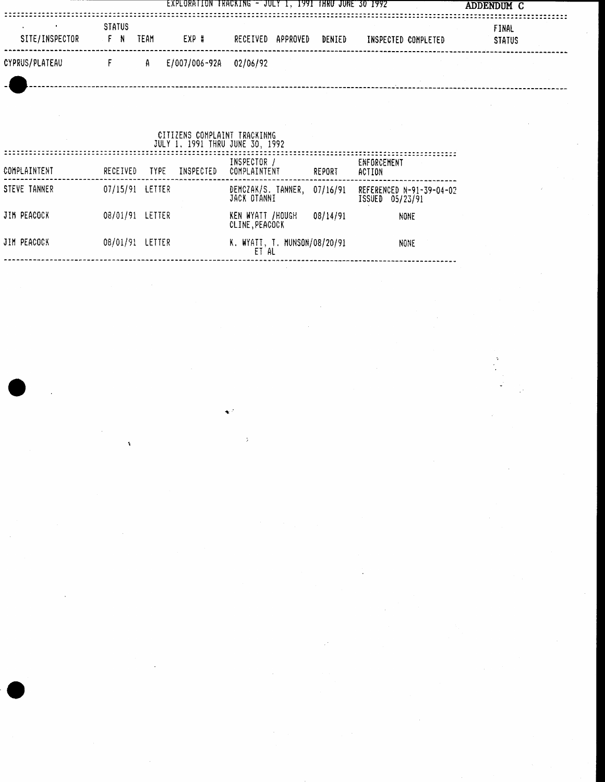|                |                     |      | EXPLORATION TRACKING - JULY 1, 1991 THRU JUNE 30 1992 |          |          |        |                     | ADDENDUM C             |  |
|----------------|---------------------|------|-------------------------------------------------------|----------|----------|--------|---------------------|------------------------|--|
| SITE/INSPECTOR | <b>STATUS</b><br>FN | TEAM | EXP #                                                 | RECEIVED | APPROVED | DENIED | INSPECTED COMPLETED | FINAL<br><b>STATUS</b> |  |
| CYPRUS/PLATEAU |                     | A    | E/007/006-92A                                         | 02/06/92 |          |        |                     |                        |  |
|                |                     |      |                                                       |          |          |        |                     |                        |  |

 $\label{eq:2} \frac{1}{\sqrt{2}}\left(\frac{1}{\sqrt{2}}\right)^{2} \frac{1}{\sqrt{2}}\left(\frac{1}{\sqrt{2}}\right)^{2}$ 

 $\mathcal{A}_\mathrm{c}$ 

 $\sim 10^{-1}$ 

 $\label{eq:2} \frac{1}{\sqrt{2}}\left(\frac{1}{\sqrt{2}}\right)^{2} \left(\frac{1}{\sqrt{2}}\right)^{2} \left(\frac{1}{\sqrt{2}}\right)^{2}$ 

Ŷ,

 $\mathcal{L}^{\mathcal{L}}$ 

|              |                 |             |           | CITIZENS COMPLAINT TRACKINMG<br>JULY 1, 1991 THRU JUNE 30, 1992 |          |                                             |
|--------------|-----------------|-------------|-----------|-----------------------------------------------------------------|----------|---------------------------------------------|
| COMPLAINTENT | RECEIVED        | <b>TYPE</b> | INSPECTED | INSPECTOR /<br>COMPLAINTENT                                     | REPORT   | ENFORCEMENT<br>ACTION                       |
| STEVE TANNER | 07/15/91 LETTER |             |           | DEMCZAK/S. TANNER,<br>JACK OTANNI                               | 07/16/91 | REFERENCED N-91-39-04-02<br>ISSUED 05/23/91 |
| JIM PEACOCK  | 08/01/91 LETTER |             |           | KEN WYATT /HOUGH<br>CLINE, PEACOCK                              | 08/14/91 | NONE                                        |
| JIM PEACOCK  | 08/01/91        | LETTER      |           | K. WYATT, T. MUNSON/08/20/91<br>ET AL                           |          | NONE                                        |

 $\mathbf{v}^{\mathrm{max}}$ 

 $\mathcal{L}^{\text{max}}_{\text{max}}$ 

 $\sim$ 

 $\hat{\mathcal{A}}$ 

 $\frac{1}{2}$ 

 $\label{eq:1} \frac{1}{\sqrt{2}}\int_{0}^{\infty}\frac{1}{\sqrt{2\pi}}\left(\frac{1}{\sqrt{2\pi}}\right)^{2}dx$ 

 $\frac{1}{\sqrt{2}}$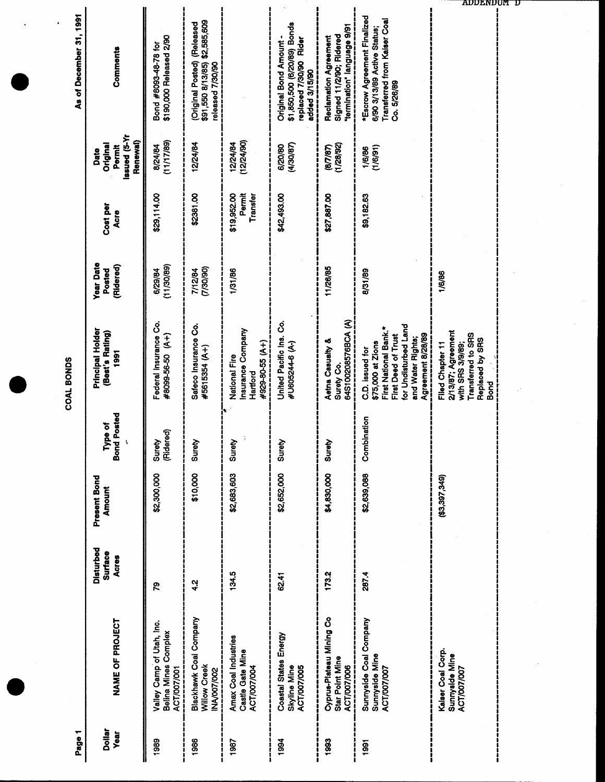| As of December 31, 1991 | Comments                                                      | \$190,000 Released 2/90<br>Bond #8093-48-78 for                  | \$2,585,609<br>(Released<br>(Original Posted)<br>\$91,550 8/13/85)<br>released 7/30/90 |                                                                       | \$1,850,500 (6/20/89) Bonds<br>Original Bond Amount -<br>replaced 7/30/90 Rider<br>added 3/15/90 | termination" language 9/91<br>Signed 11/2/90; Ridered<br>Reclamation Agreement | <b>*Escrow Agreement Finalized</b><br><b>Transferred from Kaiser Coal</b><br>6/90 3/13/89 Active Status;<br>Co. 5/26/89                                |                                                                                                            |
|-------------------------|---------------------------------------------------------------|------------------------------------------------------------------|----------------------------------------------------------------------------------------|-----------------------------------------------------------------------|--------------------------------------------------------------------------------------------------|--------------------------------------------------------------------------------|--------------------------------------------------------------------------------------------------------------------------------------------------------|------------------------------------------------------------------------------------------------------------|
|                         | <b>IX-S)</b> penssi<br>Renewal)<br>Original<br>Permit<br>Date | (11/17/89)<br>8/24/84                                            | 12/24/84                                                                               | 12/24/84<br>(12/24/90)                                                | (4/30/87)<br>6/20/80                                                                             | (1/28/92)<br>(8/7/87)                                                          | (1/6/91)<br>1/6/86                                                                                                                                     |                                                                                                            |
|                         | Cost per<br>Acre                                              | \$29,114.00                                                      | \$2381.00                                                                              | \$19,952.00<br>Transfer<br>Permit                                     | \$42,493.00                                                                                      | \$27,887.00                                                                    | \$9,182.63                                                                                                                                             |                                                                                                            |
|                         | <b>Year Date</b><br>(Ridered)<br>Posted                       | (11/30/89)<br>6/29/84                                            | (06/06/1)<br>7/12/84                                                                   | 1/31/86                                                               |                                                                                                  | 11/26/85                                                                       | 8/31/89                                                                                                                                                | 1/6/86                                                                                                     |
| COAL BONDS              | Principal Holder<br>(Best's Rating)<br>1991                   | Federal Insurance Co.<br>#8099-56-50 (A+)                        | Safeco Insurance Co.<br>#5615354 (A+)                                                  | Insurance Company<br>#929-80-55 (A+)<br>National Fire<br>Hartford     | United Pacific Ins. Co.<br>#U605244-6 (A-)                                                       | 64S100208576BCA (A)<br>Aetna Casualty &<br>Surety Co.                          | for Undisturbed Land<br>First National Bank.*<br>Agreement 8/28/89<br>First Deed of Trust<br>and Water Rights;<br>\$75,000 at Zions<br>C.D. issued for | 2/13/87; Agreement<br>Transferred to SRS<br>Replaced by SRS<br>with SRS 3/9/89<br>Filed Chapter 11<br>Bond |
|                         | <b>Bond Posted</b><br>Type of                                 | (Ridered)<br>Surety                                              | Surety                                                                                 | ĵ.<br>Υēν<br>ສັ                                                       | ápi<br>ສັ                                                                                        | Surety                                                                         | Combination                                                                                                                                            |                                                                                                            |
|                         | Present Bond<br>Amount                                        | \$2,300,000                                                      | \$10,000                                                                               | \$2,683,603                                                           | \$2,652,000                                                                                      | \$4,830,000                                                                    | \$2,639,088                                                                                                                                            | (\$3,397,349)                                                                                              |
|                         | Disturbed<br>Surface<br><b>Acres</b>                          | ဇွ                                                               | $\frac{2}{3}$                                                                          | 134.5                                                                 | 62.41                                                                                            | 173.2                                                                          | 287.4                                                                                                                                                  |                                                                                                            |
|                         | NAME OF PROJECT                                               | Valley Camp of Utah, Inc.<br>Belina Mines Complex<br>ACT/007/001 | Blackhawk Coal Company<br>Willow Creek<br><b>NA/007/002</b>                            | <b>Amax Coal Industries</b><br>Castle Gate Mine<br><b>ACT/007/004</b> | Coastal States Energy<br>Skyline Mine<br>ACT/007/005                                             | Cyprus-Plateau Mining Co<br>Star Point Mine<br><b>ACT/007/006</b>              | Sunnyside Coal Company<br>Sunnyside Mine<br><b>ACT/007/007</b>                                                                                         | Kalser Coal Corp.<br>Sunnyaide Mine<br>ACT/007/007                                                         |
| Page 1                  | <b>Dollar</b><br><b>Year</b>                                  | 1989                                                             | 1986<br> <br> <br>                                                                     | 1987                                                                  | 1994                                                                                             | 1993<br>ī                                                                      | $\frac{5}{6}$                                                                                                                                          |                                                                                                            |

ADDENDUM D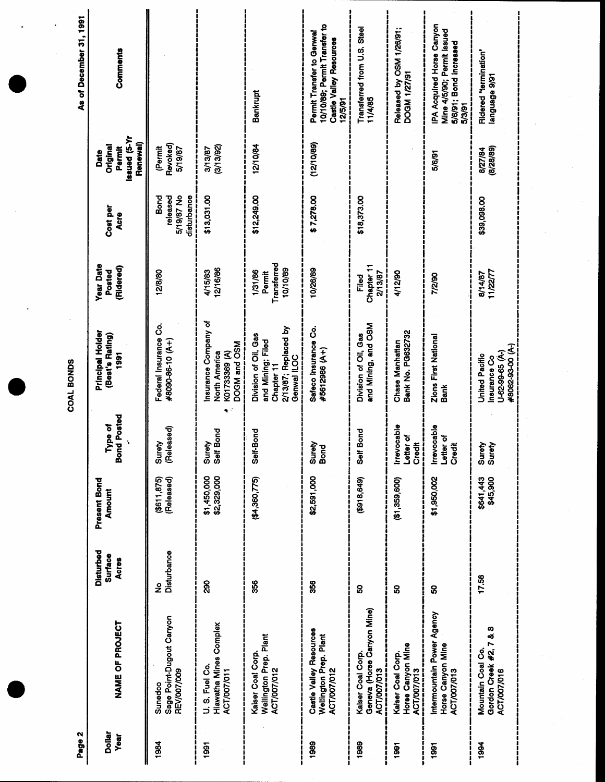| <b>PA Acquired Horse Canyon</b><br>10/10/89; Permit Transfer to<br>Transferred from U.S. Steel<br>Released by OSM 1/26/91;<br>Mine 4/5/90; Permit issued<br>Permit Transfer to Genwal<br>Castle Valley Resources<br>5/6/91; Bond increased<br>Comments<br>Ridered "termination"<br><b>DOGM 1/27/91</b><br>1979 egaugnal<br>Bankrupt<br>11/4/85<br>12/5/91<br>5/3/91<br><b>Issued</b> (5-Yr<br>Renewal)<br>(12/10/89)<br>Revoked)<br>12/10/84<br>Original<br>(3/13/92)<br>(Permit<br>Permit<br>5/19/87<br>(8/28/89)<br>3/13/87<br>8/27/84<br>5/6/91<br>5/19/87 No<br>disturbance<br>\$13,031.00<br>\$12,249.00<br>Bond<br>released<br>\$7,278.00<br>\$18,373.00<br>\$39,098.00<br>Cost per<br>Acre<br>Transferred<br>Chapter 11<br>(Ridered)<br>10/10/89<br>12/16/86<br>10/26/89<br>4/15/83<br>1/31/86<br>Posted<br>12/8/80<br>11/22/77<br>4/12/90<br>Permit<br>2/13/87<br>8/14/87<br>7/2/90<br>Filed<br>Insurance Company of<br>and Mining, and OSM<br>Federal Insurance Co.<br>2/13/87; Replaced by<br>Safeco Insurance Co.<br>Bank No. PG632732<br>(Best's Rating)<br>Division of Oil, Gas<br>Division of Oil, Gas<br>Zions First National<br>Bank<br>#8090-86-10 (A+)<br>and Mining; Filed<br>Chase Manhattan<br>DOGM and OSM<br>#8082-93-00 (A-)<br>#5612986 (A+)<br>Insurance Co<br>U-62-99-65 (Å-)<br>K01733369 (A)<br>North America<br>1991<br>United Pacific<br>Genwal ILOC<br>Chapter 11<br><b>Bond Posted</b><br>Irrevocable<br><b>Irrevocable</b><br>(Released)<br>Bond<br><b>Bond</b><br>Self-Bond<br>Letter of<br>Letter of<br>ļ<br>$\tilde{\mathbf{x}}$<br>Surety<br>Surety<br>Credit<br>Credit<br>Surety<br>Bond<br>Surety<br>Surety<br>ļ<br>Self<br>$\frac{1}{6}$ | Disturbed                                   | Present Bond | Principal Holder<br>COAL BONDS | <b>Year Date</b> | Date | As of December 31, 1991 |
|-----------------------------------------------------------------------------------------------------------------------------------------------------------------------------------------------------------------------------------------------------------------------------------------------------------------------------------------------------------------------------------------------------------------------------------------------------------------------------------------------------------------------------------------------------------------------------------------------------------------------------------------------------------------------------------------------------------------------------------------------------------------------------------------------------------------------------------------------------------------------------------------------------------------------------------------------------------------------------------------------------------------------------------------------------------------------------------------------------------------------------------------------------------------------------------------------------------------------------------------------------------------------------------------------------------------------------------------------------------------------------------------------------------------------------------------------------------------------------------------------------------------------------------------------------------------------------------------------------------------------------------------------------------------------------------|---------------------------------------------|--------------|--------------------------------|------------------|------|-------------------------|
|                                                                                                                                                                                                                                                                                                                                                                                                                                                                                                                                                                                                                                                                                                                                                                                                                                                                                                                                                                                                                                                                                                                                                                                                                                                                                                                                                                                                                                                                                                                                                                                                                                                                                   | <b>Amount</b><br><b>Surface</b>             | Type of      |                                |                  |      |                         |
|                                                                                                                                                                                                                                                                                                                                                                                                                                                                                                                                                                                                                                                                                                                                                                                                                                                                                                                                                                                                                                                                                                                                                                                                                                                                                                                                                                                                                                                                                                                                                                                                                                                                                   | (Released)<br>$($ \$611,875)<br>Disturbance |              |                                |                  |      |                         |
|                                                                                                                                                                                                                                                                                                                                                                                                                                                                                                                                                                                                                                                                                                                                                                                                                                                                                                                                                                                                                                                                                                                                                                                                                                                                                                                                                                                                                                                                                                                                                                                                                                                                                   | \$1,450,000<br>\$2,329,000                  |              |                                |                  |      |                         |
|                                                                                                                                                                                                                                                                                                                                                                                                                                                                                                                                                                                                                                                                                                                                                                                                                                                                                                                                                                                                                                                                                                                                                                                                                                                                                                                                                                                                                                                                                                                                                                                                                                                                                   | (4,360,775)                                 |              |                                |                  |      |                         |
|                                                                                                                                                                                                                                                                                                                                                                                                                                                                                                                                                                                                                                                                                                                                                                                                                                                                                                                                                                                                                                                                                                                                                                                                                                                                                                                                                                                                                                                                                                                                                                                                                                                                                   | \$2,591,000                                 |              |                                |                  |      |                         |
|                                                                                                                                                                                                                                                                                                                                                                                                                                                                                                                                                                                                                                                                                                                                                                                                                                                                                                                                                                                                                                                                                                                                                                                                                                                                                                                                                                                                                                                                                                                                                                                                                                                                                   | (649, 8163)                                 |              |                                |                  |      |                         |
|                                                                                                                                                                                                                                                                                                                                                                                                                                                                                                                                                                                                                                                                                                                                                                                                                                                                                                                                                                                                                                                                                                                                                                                                                                                                                                                                                                                                                                                                                                                                                                                                                                                                                   | (1, 359, 600)                               |              |                                |                  |      |                         |
|                                                                                                                                                                                                                                                                                                                                                                                                                                                                                                                                                                                                                                                                                                                                                                                                                                                                                                                                                                                                                                                                                                                                                                                                                                                                                                                                                                                                                                                                                                                                                                                                                                                                                   | \$1,950,002                                 |              |                                |                  |      |                         |
|                                                                                                                                                                                                                                                                                                                                                                                                                                                                                                                                                                                                                                                                                                                                                                                                                                                                                                                                                                                                                                                                                                                                                                                                                                                                                                                                                                                                                                                                                                                                                                                                                                                                                   | \$641,443<br>\$45,900                       |              |                                |                  |      |                         |

 $\ddot{\phantom{a}}$ 

 $\cdot$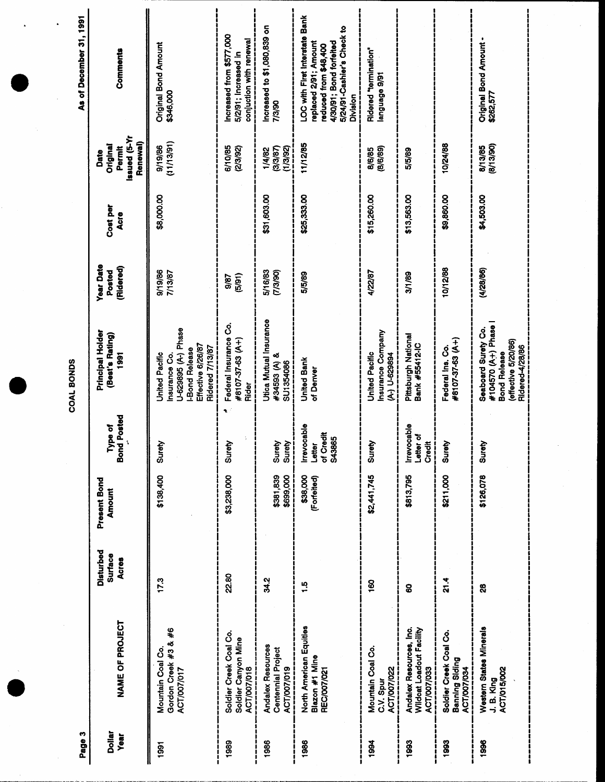| Page 3                |                                                                           |                                             |                               |                                                | COAL BONDS                                                                                                             |                                         |                  |                                                        | As of December 31, 1991                                                                                                                              |
|-----------------------|---------------------------------------------------------------------------|---------------------------------------------|-------------------------------|------------------------------------------------|------------------------------------------------------------------------------------------------------------------------|-----------------------------------------|------------------|--------------------------------------------------------|------------------------------------------------------------------------------------------------------------------------------------------------------|
| <b>Dollar</b><br>Year | NAME OF PROJECT                                                           | <b>Disturbed</b><br>Surface<br><b>Acres</b> | Present Bond<br><b>Amount</b> | Type of<br>Bond Posted                         | Principal Holder<br>(Best's Rating)<br>1991                                                                            | <b>Year Date</b><br>(Ridered)<br>Posted | Cost per<br>Acre | Issued (5-Yr<br>Renewal)<br>Original<br>Permit<br>Date | Comments                                                                                                                                             |
| 1991                  | Gordon Creek #3 & #6<br>Mountain Coal Co.<br>ACT/007/017                  | 17.3                                        | \$138,400                     | Surety                                         | U-629895 (A-) Phase<br>Effective 6/26/87<br>Ridered 7/13/87<br><b>-Bond Release</b><br>United Pacific<br>Insurance Co. | 9/19/86<br>7/13/87                      | \$8,000.00       | (11/13/91)<br>9/19/86                                  | Original Bond Amount<br>\$346,000                                                                                                                    |
| 1989                  | Soldier Creek Coal Co.<br>Soldier Canyon Mine<br><b>ACT/007/018</b>       | 22.80                                       | \$3,238,000                   | ۹.<br>Surety                                   | Federal Insurance Co.<br>#8107-37-63 (A+)<br>Rider                                                                     | (5/91)<br>9/87                          |                  | 6/10/85<br>(2/3/92)                                    | ncreased from \$577,000<br>conjuction with renewal<br>5/2/91; Increased in                                                                           |
| 1986                  | <b>Andalex Resources</b><br><b>Centennial Project</b><br>ACT/007/019      | 34.2                                        | \$699,000<br>\$381,839        | Surety<br>$\frac{1}{2}$<br>Surety              | Utica Mutual Insurance<br>#34593 (A) &<br>SU1354086                                                                    | 5/16/83<br>(7/3/90)                     | \$31,603.00      | (3/3/87)<br>(1/3/92)<br>1/4/82                         | ncreased to \$1,080,839 on<br>7/3/90                                                                                                                 |
| 1986                  | North American Equities<br>Blazon #1 Mine<br><b>REC/007/021</b>           | $\frac{1}{2}$                               | \$38,000<br>(Forfeited)       | Irrevocable<br>of Credit<br>S43865<br>Letter   | <b>United Bank</b><br>of Denver                                                                                        | 5/5/89                                  | \$25,333.00      | 11/12/85                                               | .OC with First Interstate Bank<br>5/24/91-Cashier's Check to<br>4/30/91; Bond forfeited<br>replaced 2/91; Amount<br>educed from \$48,400<br>Division |
| 1994                  | Mountain Coal Co.<br><b>ACT/007/022</b><br>C.V. Spur                      | 160                                         | \$2,441,745                   | Surety                                         | Insurance Company<br>United Pacific<br>(A-) U-629894                                                                   | 4/22/87                                 | \$15,260.00      | (8/6/89)<br>8/6/85                                     | Ridered "termination"<br>18/6 eBenBue                                                                                                                |
| 1993                  | Andalex Resources, Inc.<br>Wildcat Loadout Facility<br><b>ACT/007/033</b> | 8                                           | \$813,795                     | Irrevocable<br>Letter of<br><b>Credit</b><br>I | Pittsburgh National<br>Bank #55412-IC                                                                                  | 3/1/89                                  | \$13,563.00      | 5/5/89                                                 |                                                                                                                                                      |
| 1993                  | Soldier Creek Coal Co.<br>Banning Siding<br>ACT/007/034                   | 21.4                                        | \$211,000                     | Surety                                         | #8107-37-63 (A+)<br>Federal Ins. Co.                                                                                   | 10/12/88                                | \$9,860.00       | 10/24/88                                               |                                                                                                                                                      |
| 1996                  | Western States Minerals<br><b>ACT/015/002</b><br>J. B. King               | 8                                           | \$126,078                     | 즣<br>$rac{5}{9}$                               | #104570 (A+) Phase<br>Seaboard Surety Co.<br>(effective 5/20/86)<br>Ridered-4/28/86<br><b>Bond Release</b>             | (4/28/86)                               | \$4,503.00       | (8/13/90)<br>8/13/85                                   | Original Bond Amount -<br>\$262,577                                                                                                                  |
|                       |                                                                           |                                             |                               |                                                |                                                                                                                        |                                         |                  |                                                        |                                                                                                                                                      |

 $\frac{1}{2}$ 

 $\sim$ 

 $\hat{\mathcal{A}}$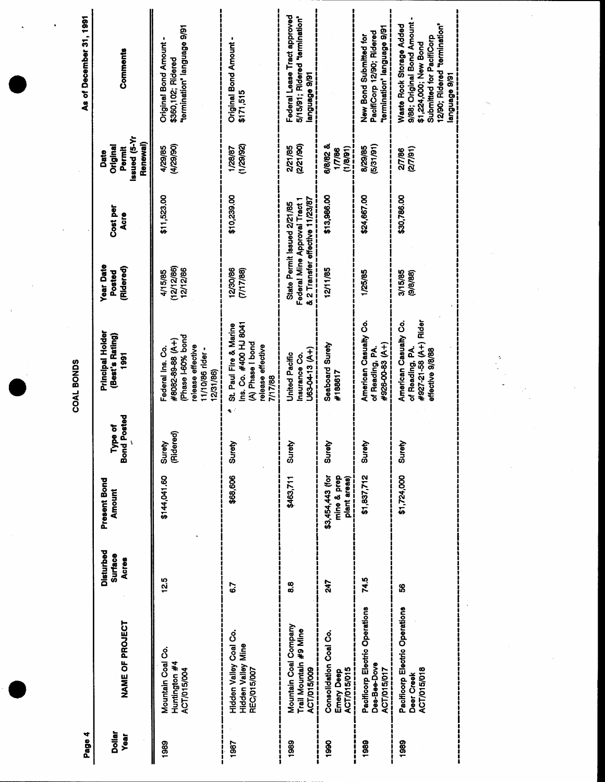| Page 4                |                                                                    |                                      |                                                 |                              | COAL BONDS                                                                                                    |                                                                                                 |                  |                                                        | As of December 31, 1991                                                                                                                                        |
|-----------------------|--------------------------------------------------------------------|--------------------------------------|-------------------------------------------------|------------------------------|---------------------------------------------------------------------------------------------------------------|-------------------------------------------------------------------------------------------------|------------------|--------------------------------------------------------|----------------------------------------------------------------------------------------------------------------------------------------------------------------|
| <b>Dollar</b><br>Year | NAME OF PROJECT                                                    | Disturbed<br><b>Surface</b><br>Acres | Present Bond<br><b>Amount</b>                   | Posted<br>be of<br>ξ<br>Bond | Principal Holder<br>(Best's Rating)<br>1991                                                                   | <b>Year Date</b><br>(Ridered)<br>Posted                                                         | Cost per<br>Acre | Issued (5-Yr<br>Renewal)<br>Original<br>Permit<br>Date | Comments                                                                                                                                                       |
| 1989                  | Mountain Coal Co.<br>Huntington #4<br>ACT/015/004                  | 12.5                                 | \$144,041.60                                    | ရွ<br>Surety<br>Rider        | Phase I-60% bond<br>#8082-89-88 (A+)<br>release effective<br>Federal Ins. Co.<br>11/10/86 rider -<br>2/31/86) | (12/12/86)<br>12/12/86<br>4/15/85                                                               | \$11,523.00      | (4/29/90)<br>4/29/85                                   | "termination" language 9/91<br><b>Original Bond Amount</b><br>\$360,102; Ridered                                                                               |
| 1987                  | Hidden Valley Coal Co.<br>Hidden Valley Mine<br><b>REC/015/007</b> | 6.7                                  | \$68,606                                        | Surety                       | Ins. Co. #400 HJ 8041<br>St. Paul Fire & Marine<br>(A) Phase I bond<br>release effective<br>7/17/88           | 12/30/86<br>(7/17/88)                                                                           | \$10,239.00      | (1/29/92)<br>1/28/87                                   | <b>Original Bond Amount</b><br>\$171,515                                                                                                                       |
| 1989                  | Mountain Coal Company<br>Trail Mountain #9 Mine<br>ACT/015/009     | 80<br>80                             | \$463,711                                       | Surety                       | U63-04-13 (A+)<br>United Pacific<br>Insurance Co.                                                             | & 2 Transfer effective 11/23/87<br>Federal Mine Approval Tract 1<br>State Permit Issued 2/21/85 |                  | (2/21/90<br>2/21/85                                    | Federal Lease Tract approved<br>5/15/91; Ridered "termination"<br>18/6 eBanBual                                                                                |
| 1990                  | Consolidation Coal Co.<br>Emery Deep<br>ACT/015/015                | 747                                  | \$3,454,443 (for<br>mine & prep<br>plant areas) | Surety                       | Seaboard Surety<br>#188617                                                                                    | 12/11/85                                                                                        | \$13,986.00      | <b>B/B/82 &amp;</b><br>(1/8/91)<br>1/7/86              |                                                                                                                                                                |
| 1989                  | Pacificorp Electric Operations<br>Des-Bee-Dove<br>ACT/015/017      | 74.5                                 | \$1,837,712                                     | Surety<br>$\mathbf{I}$       | American Casualty Co.<br>#926-00-83 (A+)<br>of Reading, PA                                                    | 1/25/85                                                                                         | \$24,667.00      | (5/31/91)<br>8/29/85                                   | termination" language 9/91<br>PacifiCorp 12/90; Ridered<br>New Bond Submitted for                                                                              |
| 1989                  | Pacificorp Electric Operations<br><b>ACT/015/018</b><br>Deer Creek | SS.                                  | \$1,724,000                                     | Surety                       | American Casualty Co.<br>#927-21-58 (A+) Rider<br>of Reading, PA.<br>effective 9/8/88                         | 3/15/85<br>(9/8/88)                                                                             | \$30,786.00      | (27/91)<br>2/7/86                                      | 9/88; Original Bond Amount -<br>Waste Rock Storage Added<br>12/90; Ridered "termination"<br>Submitted for PacifiCorp<br>\$1,224,000; New Bond<br>18/6 eBanBual |

 $\frac{1}{\sqrt{2}}$ 

 $\frac{1}{\sqrt{2}}$ 

 $\frac{1}{2} \sum_{i=1}^{n} \frac{1}{2} \sum_{j=1}^{n} \frac{1}{2} \sum_{j=1}^{n} \frac{1}{2} \sum_{j=1}^{n} \frac{1}{2} \sum_{j=1}^{n} \frac{1}{2} \sum_{j=1}^{n} \frac{1}{2} \sum_{j=1}^{n} \frac{1}{2} \sum_{j=1}^{n} \frac{1}{2} \sum_{j=1}^{n} \frac{1}{2} \sum_{j=1}^{n} \frac{1}{2} \sum_{j=1}^{n} \frac{1}{2} \sum_{j=1}^{n} \frac{1}{2} \sum_{j=1}^{n$ 

 $\label{eq:2} \frac{1}{\sqrt{2}}\left(\frac{1}{\sqrt{2}}\right)^{2} \frac{1}{\sqrt{2}}\left(\frac{1}{\sqrt{2}}\right)^{2}$ 

 $\frac{1}{\sqrt{2}}\sum_{i=1}^{n} \frac{1}{\sqrt{2}}\left(\frac{1}{\sqrt{2}}\right)^2\left(\frac{1}{\sqrt{2}}\right)^2$ 

 $\label{eq:2.1} \frac{1}{\sqrt{2}}\int_{0}^{\infty}\frac{1}{\sqrt{2\pi}}\left(\frac{1}{\sqrt{2\pi}}\right)^{2}d\mu\,d\mu\,.$ 

 $\frac{1}{2}$ 

 $\bar{t}$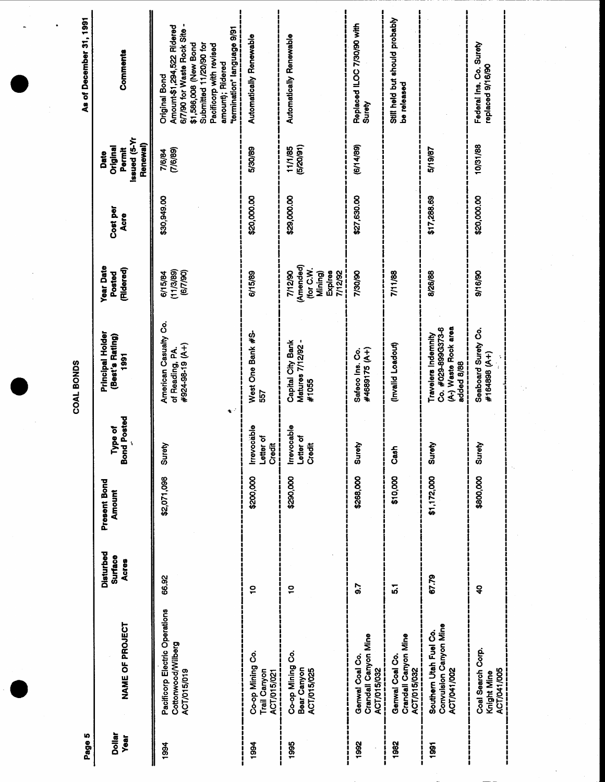|                                                                            |                                             |                        |                                               | <b>COAL BONDS</b>                                                               |                                                                    |                         |                                                               | As of December 31, 1991                                                                                                                                                                                            |
|----------------------------------------------------------------------------|---------------------------------------------|------------------------|-----------------------------------------------|---------------------------------------------------------------------------------|--------------------------------------------------------------------|-------------------------|---------------------------------------------------------------|--------------------------------------------------------------------------------------------------------------------------------------------------------------------------------------------------------------------|
| NAME OF PROJECT                                                            | Disturbed<br><b>Surface</b><br><b>Acres</b> | Present Bond<br>Amount | <b>Bond Posted</b><br>Type of<br>$\mathbf{t}$ | Principal Holder<br>(Best's Rating)<br>1991                                     | <b>Year Date</b><br>(Ridered)<br>Posted                            | Cost per<br><b>Acre</b> | <b>IX-5)</b> penssi<br>Renewal)<br>Original<br>Permit<br>Date | Comments                                                                                                                                                                                                           |
| Pacificorp Electric Operations<br>Cottonwood/Wilberg<br><b>ACT/015/019</b> | 66.92                                       | \$2,071,098            | ٠<br>Surety                                   | American Casualty Co.<br>(+V) 61-86-126#<br>of Reading, PA.                     | (11/3/89)<br>(6/7/90)<br>6/15/84                                   | \$30,949.00             | (7/6/89)<br>7/6/84                                            | 6/7/90 for Waste Rock Site -<br>Amount-\$1,294,522 Ridered<br>termination" language 9/91<br>\$1,586,008 (New Bond<br>Submitted 11/20/90 for<br>Pacificorp with revised<br>amount); Ridered<br><b>Original Bond</b> |
| Co-op Mining Co.<br>Trail Canyon<br><b>ACT/015/021</b>                     | $\tilde{a}$                                 | \$200,000              | Irrevocable<br>Letter of<br>Credit<br>J<br>ļ  | West One Bank #S-<br>557                                                        | 6/15/89                                                            | \$20,000.00             | 5/30/89                                                       | Automatically Renewable                                                                                                                                                                                            |
| Co-op Mining Co.<br>Bear Canyon<br>ACT/015/025                             | $\overline{a}$                              | \$290,000              | Irrevocable<br>Letter of<br>Credit            | Capital City Bank<br>Matures 7/12/92 -<br>#1055                                 | (Amended)<br>(for C.W.<br>7/12/90<br>Expires<br>7/12/92<br>Mining) | \$29,000.00             | (5/20/91)<br>11/1/85                                          | Automatically Renewable                                                                                                                                                                                            |
| Crandall Canyon Mine<br>Genwal Coal Co.<br>ACT/015/032                     | 5.7                                         | \$268,000              | Surety                                        | #4689175 (A+)<br>Safeco Ins. Co.                                                | 7/30/90                                                            | \$27,630.00             | (6/14/89)                                                     | Replaced ILOC 7/30/90 with<br>Surety                                                                                                                                                                               |
| Crandall Canyon Mine<br>Genwal Coal Co.<br>ACT/015/032<br>i                | $\overline{5}$                              | \$10,000               | <b>Gast</b>                                   | (Invalid Loadout)                                                               | 7/11/88                                                            |                         |                                                               | Still held but should probably<br>be released                                                                                                                                                                      |
| Convulsion Canyon Mine<br>Southern Utah Fuel Co.<br>ACT/041/002            | 67.79                                       | \$1,172,000            | Surety                                        | (A-) Waste Rock area<br>Co. #029-899G373-6<br>Travelers Indemnity<br>added 8/88 | 8/26/88                                                            | \$17,288.69             | 5/19/87                                                       |                                                                                                                                                                                                                    |
| Coal Search Corp.<br>ACT/041/005<br>Knight Mine                            | $\ddot{a}$                                  | \$800,000              | Surety                                        | Seaboard Surety Co.<br>#164898 (A+)                                             | 9/16/90                                                            | \$20,000.00             | 10/31/88                                                      | Federal Ins. Co. Surety<br>replaced 9/16/90                                                                                                                                                                        |

 $\sim$ 

 $\sim$   $\sim$